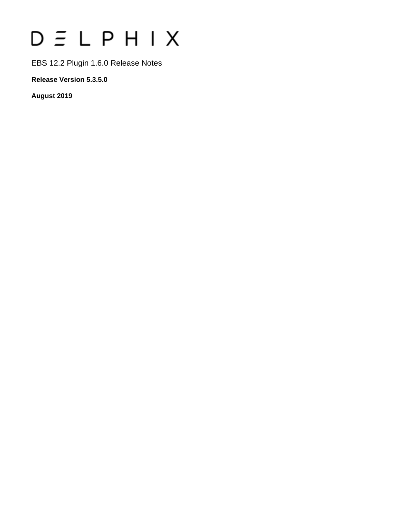# $D \equiv L$   $P$   $H$   $I$   $X$

EBS 12.2 Plugin 1.6.0 Release Notes

**Release Version 5.3.5.0**

**August 2019**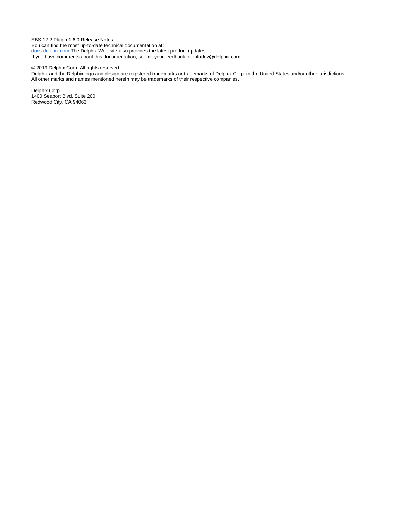EBS 12.2 Plugin 1.6.0 Release Notes You can find the most up-to-date technical documentation at: [docs.delphix.com](http://docs.delphix.com) The Delphix Web site also provides the latest product updates. If you have comments about this documentation, submit your feedback to: infodev@delphix.com

© 2019 Delphix Corp. All rights reserved.

Delphix and the Delphix logo and design are registered trademarks or trademarks of Delphix Corp. in the United States and/or other jurisdictions. All other marks and names mentioned herein may be trademarks of their respective companies.

Delphix Corp. 1400 Seaport Blvd, Suite 200 Redwood City, CA 94063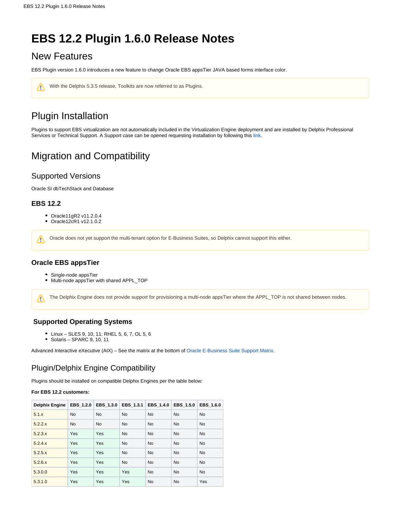# **EBS 12.2 Plugin 1.6.0 Release Notes**

## New Features

EBS Plugin version 1.6.0 introduces a new feature to change Oracle EBS appsTier JAVA based forms interface color.

| ₾ | With the Delphix 5.3.5 release, Toolkits are now referred to as Plugins. |  |  |
|---|--------------------------------------------------------------------------|--|--|
|   |                                                                          |  |  |

# Plugin Installation

Plugins to support EBS virtualization are not automatically included in the Virtualization Engine deployment and are installed by Delphix Professional Services or Technical Support. A Support case can be opened requesting installation by following this [link](http://support-tickets.delphix.com/).

## Migration and Compatibility

## Supported Versions

Oracle SI dbTechStack and Database

## **EBS 12.2**

- Oracle11gR2 v11.2.0.4
- Oracle12cR1 v12.1.0.2

Oracle does not yet support the multi-tenant option for E-Business Suites, so Delphix cannot support this either. Λ

## **Oracle EBS appsTier**

- Single-node appsTier
- Multi-node appsTier with shared APPL\_TOP

The Delphix Engine does not provide support for provisioning a multi-node appsTier where the APPL\_TOP is not shared between nodes. Λ

## **Supported Operating Systems**

- Linux SLES 9, 10, 11; RHEL 5, 6, 7, OL 5, 6
- $\bullet$  Solaris SPARC 9, 10, 11

Advanced Interactive eXecutive (AIX) – See the matrix at the bottom of [Oracle E-Business Suite Support Matrix](https://docs.delphix.com/display/DOCS535/Oracle+E-Business+Suite+Support+Matrix).

## Plugin/Delphix Engine Compatibility

Plugins should be installed on compatible Delphix Engines per the table below:

#### **For EBS 12.2 customers:**

| <b>Delphix Engine</b> | <b>EBS 1.2.0</b> | EBS 1.3.0 | EBS 1.3.1 | EBS 1.4.0 | EBS 1.5.0 | EBS 1.6.0 |
|-----------------------|------------------|-----------|-----------|-----------|-----------|-----------|
| 5.1.x                 | <b>No</b>        | <b>No</b> | <b>No</b> | <b>No</b> | <b>No</b> | <b>No</b> |
| 5.2.2.x               | <b>No</b>        | <b>No</b> | <b>No</b> | <b>No</b> | <b>No</b> | <b>No</b> |
| 5.2.3.x               | Yes              | Yes       | <b>No</b> | <b>No</b> | <b>No</b> | <b>No</b> |
| 5.2.4.x               | Yes              | Yes       | <b>No</b> | <b>No</b> | <b>No</b> | <b>No</b> |
| 5.2.5.x               | Yes              | Yes       | <b>No</b> | <b>No</b> | <b>No</b> | <b>No</b> |
| 5.2.6.x               | <b>Yes</b>       | Yes       | <b>No</b> | <b>No</b> | <b>No</b> | <b>No</b> |
| 5.3.0.0               | Yes              | Yes       | Yes       | <b>No</b> | <b>No</b> | <b>No</b> |
| 5.3.1.0               | Yes              | Yes       | Yes       | <b>No</b> | <b>No</b> | Yes       |